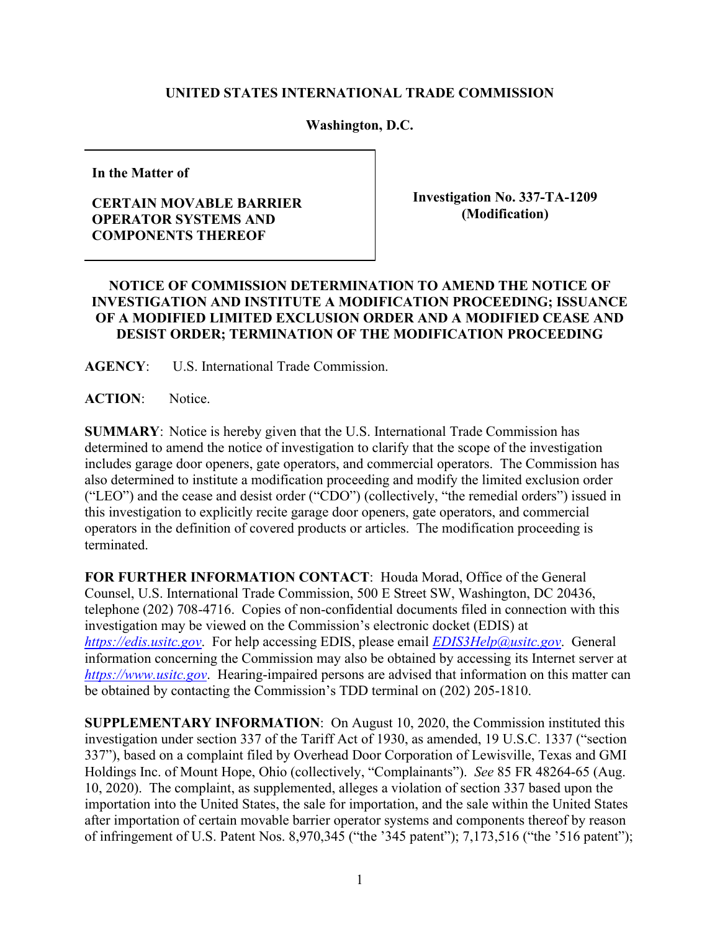## **UNITED STATES INTERNATIONAL TRADE COMMISSION**

## **Washington, D.C.**

**In the Matter of** 

## **CERTAIN MOVABLE BARRIER OPERATOR SYSTEMS AND COMPONENTS THEREOF**

**Investigation No. 337-TA-1209 (Modification)** 

## **NOTICE OF COMMISSION DETERMINATION TO AMEND THE NOTICE OF INVESTIGATION AND INSTITUTE A MODIFICATION PROCEEDING; ISSUANCE OF A MODIFIED LIMITED EXCLUSION ORDER AND A MODIFIED CEASE AND DESIST ORDER; TERMINATION OF THE MODIFICATION PROCEEDING**

**AGENCY**: U.S. International Trade Commission.

**ACTION**: Notice.

**SUMMARY**: Notice is hereby given that the U.S. International Trade Commission has determined to amend the notice of investigation to clarify that the scope of the investigation includes garage door openers, gate operators, and commercial operators. The Commission has also determined to institute a modification proceeding and modify the limited exclusion order ("LEO") and the cease and desist order ("CDO") (collectively, "the remedial orders") issued in this investigation to explicitly recite garage door openers, gate operators, and commercial operators in the definition of covered products or articles. The modification proceeding is terminated.

**FOR FURTHER INFORMATION CONTACT**: Houda Morad, Office of the General Counsel, U.S. International Trade Commission, 500 E Street SW, Washington, DC 20436, telephone (202) 708-4716. Copies of non-confidential documents filed in connection with this investigation may be viewed on the Commission's electronic docket (EDIS) at *[https://edis.usitc.gov](https://edis.usitc.gov/)*. For help accessing EDIS, please email *[EDIS3Help@usitc.gov](mailto:EDIS3Help@usitc.gov)*. General information concerning the Commission may also be obtained by accessing its Internet server at *[https://www.usitc.gov](https://www.usitc.gov/)*. Hearing-impaired persons are advised that information on this matter can be obtained by contacting the Commission's TDD terminal on (202) 205-1810.

**SUPPLEMENTARY INFORMATION**: On August 10, 2020, the Commission instituted this investigation under section 337 of the Tariff Act of 1930, as amended, 19 U.S.C. 1337 ("section 337"), based on a complaint filed by Overhead Door Corporation of Lewisville, Texas and GMI Holdings Inc. of Mount Hope, Ohio (collectively, "Complainants"). *See* 85 FR 48264-65 (Aug. 10, 2020). The complaint, as supplemented, alleges a violation of section 337 based upon the importation into the United States, the sale for importation, and the sale within the United States after importation of certain movable barrier operator systems and components thereof by reason of infringement of U.S. Patent Nos. 8,970,345 ("the '345 patent"); 7,173,516 ("the '516 patent");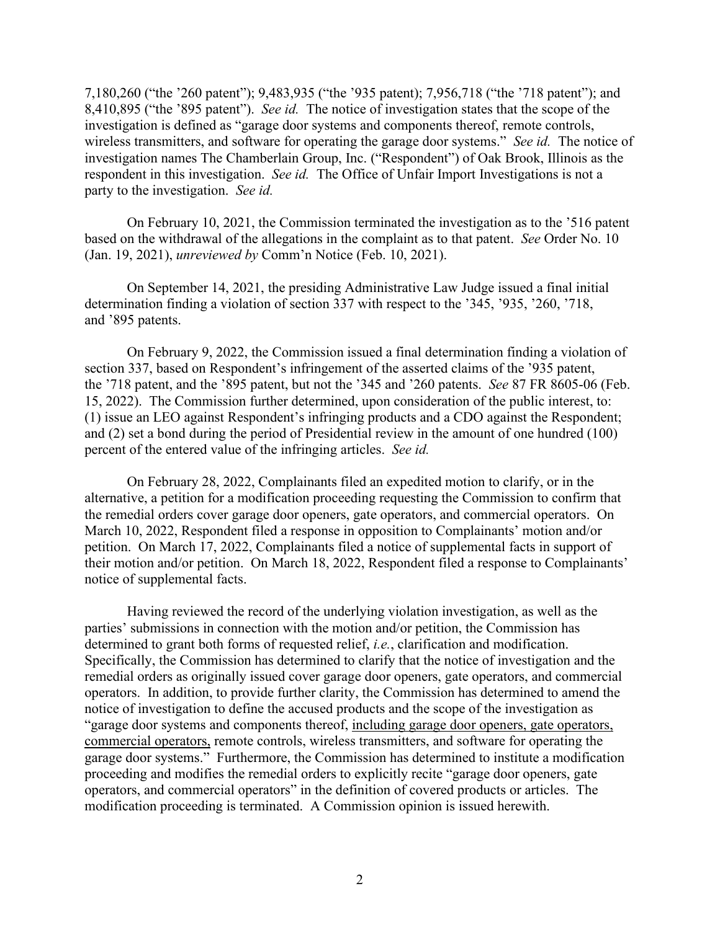7,180,260 ("the '260 patent"); 9,483,935 ("the '935 patent); 7,956,718 ("the '718 patent"); and 8,410,895 ("the '895 patent"). *See id.* The notice of investigation states that the scope of the investigation is defined as "garage door systems and components thereof, remote controls, wireless transmitters, and software for operating the garage door systems." *See id.* The notice of investigation names The Chamberlain Group, Inc. ("Respondent") of Oak Brook, Illinois as the respondent in this investigation. *See id.* The Office of Unfair Import Investigations is not a party to the investigation. *See id.*

On February 10, 2021, the Commission terminated the investigation as to the '516 patent based on the withdrawal of the allegations in the complaint as to that patent. *See* Order No. 10 (Jan. 19, 2021), *unreviewed by* Comm'n Notice (Feb. 10, 2021).

On September 14, 2021, the presiding Administrative Law Judge issued a final initial determination finding a violation of section 337 with respect to the '345, '935, '260, '718, and '895 patents.

On February 9, 2022, the Commission issued a final determination finding a violation of section 337, based on Respondent's infringement of the asserted claims of the '935 patent, the '718 patent, and the '895 patent, but not the '345 and '260 patents. *See* 87 FR 8605-06 (Feb. 15, 2022). The Commission further determined, upon consideration of the public interest, to: (1) issue an LEO against Respondent's infringing products and a CDO against the Respondent; and (2) set a bond during the period of Presidential review in the amount of one hundred (100) percent of the entered value of the infringing articles. *See id.*

On February 28, 2022, Complainants filed an expedited motion to clarify, or in the alternative, a petition for a modification proceeding requesting the Commission to confirm that the remedial orders cover garage door openers, gate operators, and commercial operators. On March 10, 2022, Respondent filed a response in opposition to Complainants' motion and/or petition. On March 17, 2022, Complainants filed a notice of supplemental facts in support of their motion and/or petition. On March 18, 2022, Respondent filed a response to Complainants' notice of supplemental facts.

Having reviewed the record of the underlying violation investigation, as well as the parties' submissions in connection with the motion and/or petition, the Commission has determined to grant both forms of requested relief, *i.e.*, clarification and modification. Specifically, the Commission has determined to clarify that the notice of investigation and the remedial orders as originally issued cover garage door openers, gate operators, and commercial operators. In addition, to provide further clarity, the Commission has determined to amend the notice of investigation to define the accused products and the scope of the investigation as "garage door systems and components thereof, including garage door openers, gate operators, commercial operators, remote controls, wireless transmitters, and software for operating the garage door systems." Furthermore, the Commission has determined to institute a modification proceeding and modifies the remedial orders to explicitly recite "garage door openers, gate operators, and commercial operators" in the definition of covered products or articles. The modification proceeding is terminated. A Commission opinion is issued herewith.